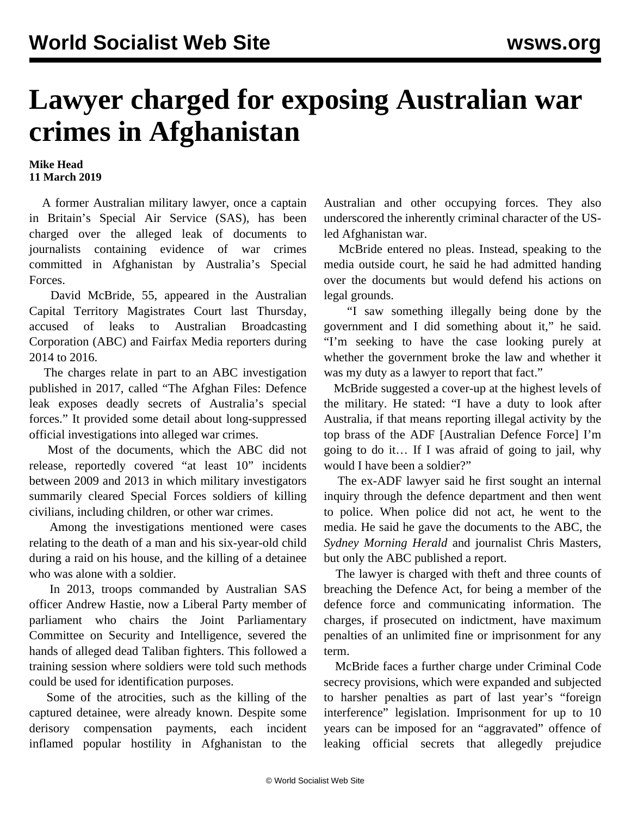## **Lawyer charged for exposing Australian war crimes in Afghanistan**

**Mike Head 11 March 2019**

 A former Australian military lawyer, once a captain in Britain's Special Air Service (SAS), has been charged over the alleged leak of documents to journalists containing evidence of war crimes committed in Afghanistan by Australia's Special Forces.

 David McBride, 55, appeared in the Australian Capital Territory Magistrates Court last Thursday, accused of leaks to Australian Broadcasting Corporation (ABC) and Fairfax Media reporters during 2014 to 2016.

 The charges relate in part to an ABC investigation published in 2017, called "The Afghan Files: Defence leak exposes deadly secrets of Australia's special forces." It provided [some detail](/en/articles/2017/07/13/afgh-j13.html) about long-suppressed official investigations into alleged war crimes.

 Most of the documents, which the ABC did not release, reportedly covered "at least 10" incidents between 2009 and 2013 in which military investigators summarily cleared Special Forces soldiers of killing civilians, including children, or other war crimes.

 Among the investigations mentioned were cases relating to the death of a man and his six-year-old child during a raid on his house, and the killing of a detainee who was alone with a soldier.

 In 2013, troops commanded by Australian SAS officer Andrew Hastie, now a Liberal Party member of parliament who chairs the Joint Parliamentary Committee on Security and Intelligence, severed the hands of alleged dead Taliban fighters. This followed a training session where soldiers were told such methods could be used for identification purposes.

 Some of the atrocities, such as the killing of the captured detainee, were already known. Despite some derisory compensation payments, each incident inflamed popular hostility in Afghanistan to the Australian and other occupying forces. They also underscored the inherently criminal character of the USled Afghanistan war.

 McBride entered no pleas. Instead, speaking to the media outside court, he said he had admitted handing over the documents but would defend his actions on legal grounds.

 "I saw something illegally being done by the government and I did something about it," he said. "I'm seeking to have the case looking purely at whether the government broke the law and whether it was my duty as a lawyer to report that fact."

 McBride suggested a cover-up at the highest levels of the military. He stated: "I have a duty to look after Australia, if that means reporting illegal activity by the top brass of the ADF [Australian Defence Force] I'm going to do it… If I was afraid of going to jail, why would I have been a soldier?"

 The ex-ADF lawyer said he first sought an internal inquiry through the defence department and then went to police. When police did not act, he went to the media. He said he gave the documents to the ABC, the *Sydney Morning Herald* and journalist Chris Masters, but only the ABC published a report.

 The lawyer is charged with theft and three counts of breaching the Defence Act, for being a member of the defence force and communicating information. The charges, if prosecuted on indictment, have maximum penalties of an unlimited fine or imprisonment for any term.

 McBride faces a further charge under Criminal Code secrecy provisions, which were expanded and subjected to harsher penalties as part of last year's "foreign interference" legislation. Imprisonment for up to 10 years can be [imposed](/en/articles/2018/07/14/inte-j14.html) for an "aggravated" offence of leaking official secrets that allegedly prejudice